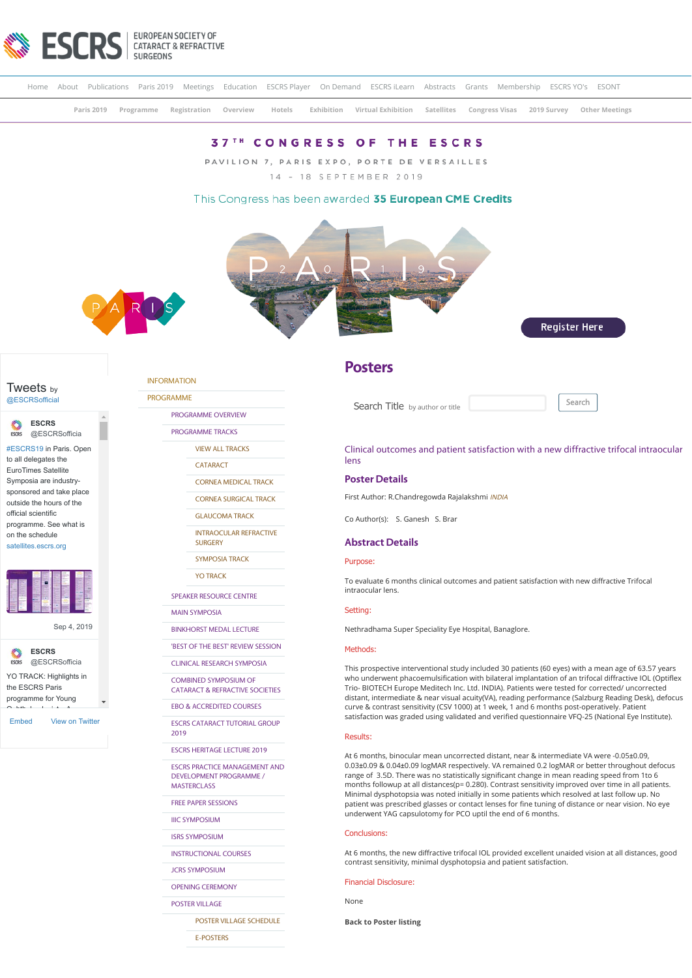

|  |  |  |  | Home About Publications Paris 2019 Meetings Education ESCRS Player On Demand ESCRS iLearn Abstracts Grants Membership ESCRS YO's ESONT |  |  |  |
|--|--|--|--|----------------------------------------------------------------------------------------------------------------------------------------|--|--|--|
|  |  |  |  | Paris 2019 Programme Registration Overview Hotels Exhibition Virtual Exhibition Satellites Congress-Visas 2019-Survey Other-Meetings   |  |  |  |

# **37TH CONGRESS OF THE ESCRS**

PAVILION 7, PARIS EXPO, PORTE DE VERSAILLES 14 - 18 SEPTEMBER 2019

# This Congress has been awarded 35 European CME Credits







**ESCRS** [@ESCRSofficia](https://twitter.com/ESCRSofficial)

[#ESCRS19](https://twitter.com/hashtag/ESCRS19?src=hash) in Paris. Open to all delegates the EuroTimes Satellite Symposia are industrysponsored and take place outside the hours of the official scientific programme. See what is

on the schedule [satellites.escrs.org](https://t.co/3xG4psOegg)



[Sep 4, 2019](https://twitter.com/ESCRSofficial/status/1169282841303273472)



[Embed](https://publish.twitter.com/?url=https%3A%2F%2Ftwitter.com%2FESCRSofficial) [View on Twitter](https://twitter.com/ESCRSofficial)

[INFORMATION](https://www.escrs.org/paris2019/default.asp)

[PROGRAMME](https://www.escrs.org/paris2019/default.asp)

[PROGRAMME OVERVIEW](https://www.escrs.org/paris2019/programme/prog_overview.asp)

[PROGRAMME TRACKS](javascript:void(0);)

[VIEW ALL TRACKS](https://www.escrs.org/paris2019/programme/tracks.asp)

**[CATARACT](https://www.escrs.org/paris2019/programme/downloads/Tracks_Cataract_and_Refractive.pdf)** 

[CORNEA MEDICAL TRACK](https://www.escrs.org/paris2019/programme/downloads/Tracks_Cornea_Medical_Track.pdf)

[CORNEA SURGICAL TRACK](https://www.escrs.org/paris2019/programme/downloads/Tracks_Cornea_Surgical_Track.pdf) [GLAUCOMA TRACK](https://www.escrs.org/paris2019/programme/downloads/Track_Glaucoma.pdf)

[INTRAOCULAR REFRACTIVE](https://www.escrs.org/paris2019/programme/downloads/Tracks_Intraocular_Refractive_Surgery.pdf)

**SURGERY** 

[SYMPOSIA TRACK](https://www.escrs.org/paris2019/programme/downloads/Tracks_Symposia.pdf)

[YO TRACK](https://www.escrs.org/paris2019/programme/downloads/Tracks_Young_Ophthalmologists.pdf)

[SPEAKER RESOURCE CENTRE](https://2019escr.smarteventscloud.com/content/login.do)

[MAIN SYMPOSIA](https://www.escrs.org/paris2019/programme/main-symposia.asp)

[BINKHORST MEDAL LECTURE](https://www.escrs.org/paris2019/programme/Binkhorst_Medal_Lecture.asp) ['BEST OF THE BEST' REVIEW SESSION](https://www.escrs.org/paris2019/programme/best-of-the-best.asp)

[CLINICAL RESEARCH SYMPOSIA](https://www.escrs.org/paris2019/programme/clinical-research.asp)

COMBINED SYMPOSIUM OF [CATARACT & REFRACTIVE SOCIETIES](https://www.escrs.org/paris2019/programme/cscrs.asp)

[EBO & ACCREDITED COURSES](https://www.escrs.org/paris2019/programme/EBO&Accredited-Courses.asp)

[ESCRS CATARACT TUTORIAL GROUP](https://www.escrs.org/paris2019/programme/Cataract_Tutorial_Group.asp) 2019

[ESCRS HERITAGE LECTURE 2019](https://www.escrs.org/paris2019/programme/ESCRS_Heritage_Lecture_2019.asp)

[ESCRS PRACTICE MANAGEMENT AND](https://www.escrs.org/paris2019/programme/ESCRS-Practice-Management-and-Development-Programme.asp) DEVELOPMENT PROGRAMME / MASTERCLASS

[FREE PAPER SESSIONS](javascript:void(0);)

[IIIC SYMPOSIUM](https://www.escrs.org/paris2019/programme/IIIC_symposium.asp)

[ISRS SYMPOSIUM](https://www.escrs.org/paris2019/programme/ISRS.asp)

[INSTRUCTIONAL COURSES](https://www.escrs.org/paris2019/programme/instructional-courses.asp?day=I)

[JCRS SYMPOSIUM](https://www.escrs.org/paris2019/programme/JCRS-symposium.asp)

[OPENING CEREMONY](https://www.escrs.org/paris2019/programme/Opening_Ceremony.asp)

[POSTER VILLAGE](javascript:void(0);)

[POSTER VILLAGE SCHEDULE](https://www.escrs.org/paris2019/programme/poster-village-overview.asp)

[E-POSTERS](https://www.escrs.org/paris2019/programme/poster-overview.asp)

# **Posters**

Search Title by author or title **Search** 

Clinical outcomes and patient satisfaction with a new diffractive trifocal intraocular lens

# **Poster Details**

First Author: R.Chandregowda Rajalakshmi INDIA

Co Author(s): S. Ganesh S. Brar

## **Abstract Details**

# Purpose:

To evaluate 6 months clinical outcomes and patient satisfaction with new diffractive Trifocal intraocular lens.

# Setting:

Nethradhama Super Speciality Eye Hospital, Banaglore.

# Methods:

This prospective interventional study included 30 patients (60 eyes) with a mean age of 63.57 years who underwent phacoemulsification with bilateral implantation of an trifocal diffractive IOL (Optiflex Trio- BIOTECH Europe Meditech Inc. Ltd. INDIA). Patients were tested for corrected/ uncorrected distant, intermediate & near visual acuity(VA), reading performance (Salzburg Reading Desk), defocus curve & contrast sensitivity (CSV 1000) at 1 week, 1 and 6 months post-operatively. Patient satisfaction was graded using validated and verified questionnaire VFQ-25 (National Eye Institute).

#### Results:

At 6 months, binocular mean uncorrected distant, near & intermediate VA were -0.05±0.09, 0.03±0.09 & 0.04±0.09 logMAR respectively. VA remained 0.2 logMAR or better throughout defocus range of 3.5D. There was no statistically significant change in mean reading speed from 1to 6 months followup at all distances(p= 0.280). Contrast sensitivity improved over time in all patients. Minimal dysphotopsia was noted initially in some patients which resolved at last follow up. No patient was prescribed glasses or contact lenses for fine tuning of distance or near vision. No eye underwent YAG capsulotomy for PCO uptil the end of 6 months.

#### Conclusions:

At 6 months, the new diffractive trifocal IOL provided excellent unaided vision at all distances, good contrast sensitivity, minimal dysphotopsia and patient satisfaction.

#### Financial Disclosure:

None

**[Back to Poster listing](https://www.escrs.org/paris2019/programme/poster-overview.asp)**